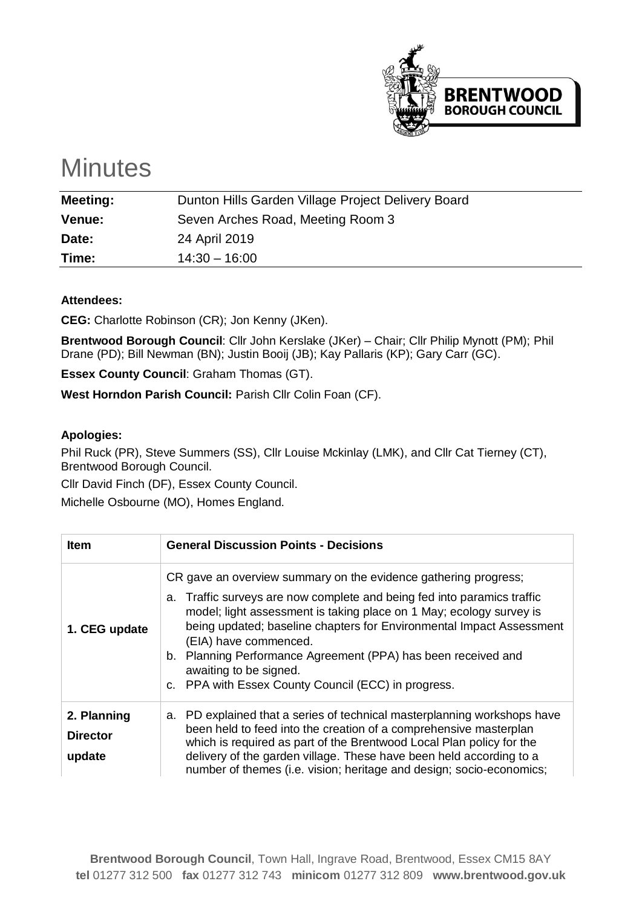

## **Minutes**

| <b>Meeting:</b> | Dunton Hills Garden Village Project Delivery Board |  |
|-----------------|----------------------------------------------------|--|
| Venue:          | Seven Arches Road, Meeting Room 3                  |  |
| Date:           | 24 April 2019                                      |  |
| Time:           | $14:30 - 16:00$                                    |  |
|                 |                                                    |  |

## **Attendees:**

**CEG:** Charlotte Robinson (CR); Jon Kenny (JKen).

**Brentwood Borough Council**: Cllr John Kerslake (JKer) – Chair; Cllr Philip Mynott (PM); Phil Drane (PD); Bill Newman (BN); Justin Booij (JB); Kay Pallaris (KP); Gary Carr (GC).

**Essex County Council**: Graham Thomas (GT).

**West Horndon Parish Council:** Parish Cllr Colin Foan (CF).

## **Apologies:**

Phil Ruck (PR), Steve Summers (SS), Cllr Louise Mckinlay (LMK), and Cllr Cat Tierney (CT), Brentwood Borough Council.

Cllr David Finch (DF), Essex County Council.

Michelle Osbourne (MO), Homes England.

| <b>Item</b>                              | <b>General Discussion Points - Decisions</b>                                                                                                                                                                                                                                                                                                                                                                                                                         |  |  |
|------------------------------------------|----------------------------------------------------------------------------------------------------------------------------------------------------------------------------------------------------------------------------------------------------------------------------------------------------------------------------------------------------------------------------------------------------------------------------------------------------------------------|--|--|
| 1. CEG update                            | CR gave an overview summary on the evidence gathering progress;<br>a. Traffic surveys are now complete and being fed into paramics traffic<br>model; light assessment is taking place on 1 May; ecology survey is<br>being updated; baseline chapters for Environmental Impact Assessment<br>(EIA) have commenced.<br>b. Planning Performance Agreement (PPA) has been received and<br>awaiting to be signed.<br>c. PPA with Essex County Council (ECC) in progress. |  |  |
| 2. Planning<br><b>Director</b><br>update | a. PD explained that a series of technical masterplanning workshops have<br>been held to feed into the creation of a comprehensive masterplan<br>which is required as part of the Brentwood Local Plan policy for the<br>delivery of the garden village. These have been held according to a<br>number of themes (i.e. vision; heritage and design; socio-economics;                                                                                                 |  |  |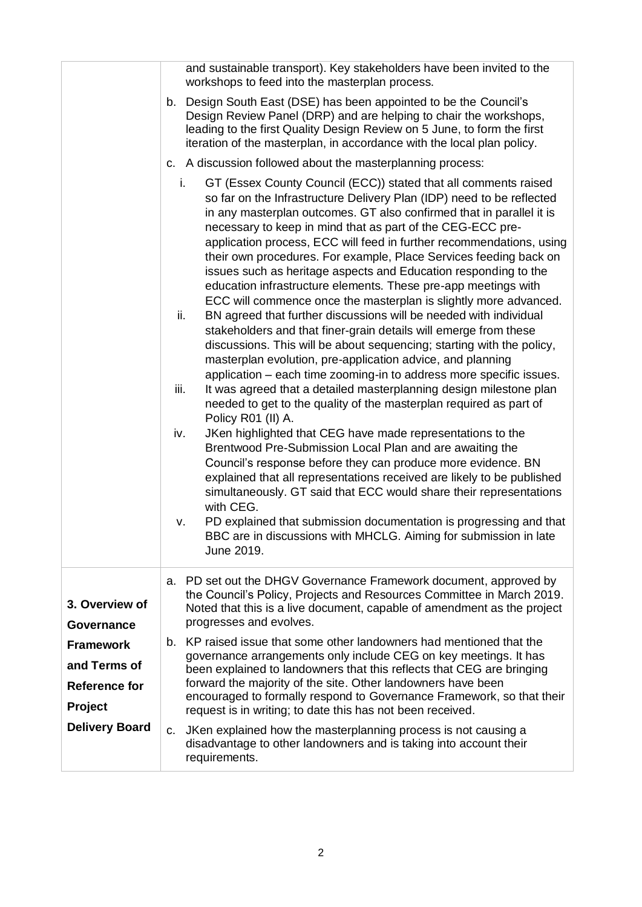|                                  | and sustainable transport). Key stakeholders have been invited to the<br>workshops to feed into the masterplan process.                                                                                                                                                                                                                                                                                                                                                                                                                                                                                                                                                                                                                                                                                                                                                                                                                                                                                                                                                                                                                                                                                                                                                                                                                                                                                                                                                                                                                                                                                                                                                                                        |  |  |  |
|----------------------------------|----------------------------------------------------------------------------------------------------------------------------------------------------------------------------------------------------------------------------------------------------------------------------------------------------------------------------------------------------------------------------------------------------------------------------------------------------------------------------------------------------------------------------------------------------------------------------------------------------------------------------------------------------------------------------------------------------------------------------------------------------------------------------------------------------------------------------------------------------------------------------------------------------------------------------------------------------------------------------------------------------------------------------------------------------------------------------------------------------------------------------------------------------------------------------------------------------------------------------------------------------------------------------------------------------------------------------------------------------------------------------------------------------------------------------------------------------------------------------------------------------------------------------------------------------------------------------------------------------------------------------------------------------------------------------------------------------------------|--|--|--|
|                                  | b. Design South East (DSE) has been appointed to be the Council's<br>Design Review Panel (DRP) and are helping to chair the workshops,<br>leading to the first Quality Design Review on 5 June, to form the first<br>iteration of the masterplan, in accordance with the local plan policy.                                                                                                                                                                                                                                                                                                                                                                                                                                                                                                                                                                                                                                                                                                                                                                                                                                                                                                                                                                                                                                                                                                                                                                                                                                                                                                                                                                                                                    |  |  |  |
|                                  | c. A discussion followed about the masterplanning process:                                                                                                                                                                                                                                                                                                                                                                                                                                                                                                                                                                                                                                                                                                                                                                                                                                                                                                                                                                                                                                                                                                                                                                                                                                                                                                                                                                                                                                                                                                                                                                                                                                                     |  |  |  |
|                                  | GT (Essex County Council (ECC)) stated that all comments raised<br>i.<br>so far on the Infrastructure Delivery Plan (IDP) need to be reflected<br>in any masterplan outcomes. GT also confirmed that in parallel it is<br>necessary to keep in mind that as part of the CEG-ECC pre-<br>application process, ECC will feed in further recommendations, using<br>their own procedures. For example, Place Services feeding back on<br>issues such as heritage aspects and Education responding to the<br>education infrastructure elements. These pre-app meetings with<br>ECC will commence once the masterplan is slightly more advanced.<br>ii.<br>BN agreed that further discussions will be needed with individual<br>stakeholders and that finer-grain details will emerge from these<br>discussions. This will be about sequencing; starting with the policy,<br>masterplan evolution, pre-application advice, and planning<br>application – each time zooming-in to address more specific issues.<br>It was agreed that a detailed masterplanning design milestone plan<br>iii.<br>needed to get to the quality of the masterplan required as part of<br>Policy R01 (II) A.<br>JKen highlighted that CEG have made representations to the<br>iv.<br>Brentwood Pre-Submission Local Plan and are awaiting the<br>Council's response before they can produce more evidence. BN<br>explained that all representations received are likely to be published<br>simultaneously. GT said that ECC would share their representations<br>with CEG.<br>PD explained that submission documentation is progressing and that<br>v.<br>BBC are in discussions with MHCLG. Aiming for submission in late<br>June 2019. |  |  |  |
|                                  |                                                                                                                                                                                                                                                                                                                                                                                                                                                                                                                                                                                                                                                                                                                                                                                                                                                                                                                                                                                                                                                                                                                                                                                                                                                                                                                                                                                                                                                                                                                                                                                                                                                                                                                |  |  |  |
| 3. Overview of<br>Governance     | PD set out the DHGV Governance Framework document, approved by<br>а.<br>the Council's Policy, Projects and Resources Committee in March 2019.<br>Noted that this is a live document, capable of amendment as the project<br>progresses and evolves.                                                                                                                                                                                                                                                                                                                                                                                                                                                                                                                                                                                                                                                                                                                                                                                                                                                                                                                                                                                                                                                                                                                                                                                                                                                                                                                                                                                                                                                            |  |  |  |
| <b>Framework</b><br>and Terms of | KP raised issue that some other landowners had mentioned that the<br>b.<br>governance arrangements only include CEG on key meetings. It has                                                                                                                                                                                                                                                                                                                                                                                                                                                                                                                                                                                                                                                                                                                                                                                                                                                                                                                                                                                                                                                                                                                                                                                                                                                                                                                                                                                                                                                                                                                                                                    |  |  |  |
| <b>Reference for</b>             | been explained to landowners that this reflects that CEG are bringing<br>forward the majority of the site. Other landowners have been                                                                                                                                                                                                                                                                                                                                                                                                                                                                                                                                                                                                                                                                                                                                                                                                                                                                                                                                                                                                                                                                                                                                                                                                                                                                                                                                                                                                                                                                                                                                                                          |  |  |  |
| Project                          | encouraged to formally respond to Governance Framework, so that their<br>request is in writing; to date this has not been received.                                                                                                                                                                                                                                                                                                                                                                                                                                                                                                                                                                                                                                                                                                                                                                                                                                                                                                                                                                                                                                                                                                                                                                                                                                                                                                                                                                                                                                                                                                                                                                            |  |  |  |
| <b>Delivery Board</b>            | JKen explained how the masterplanning process is not causing a<br>c.<br>disadvantage to other landowners and is taking into account their<br>requirements.                                                                                                                                                                                                                                                                                                                                                                                                                                                                                                                                                                                                                                                                                                                                                                                                                                                                                                                                                                                                                                                                                                                                                                                                                                                                                                                                                                                                                                                                                                                                                     |  |  |  |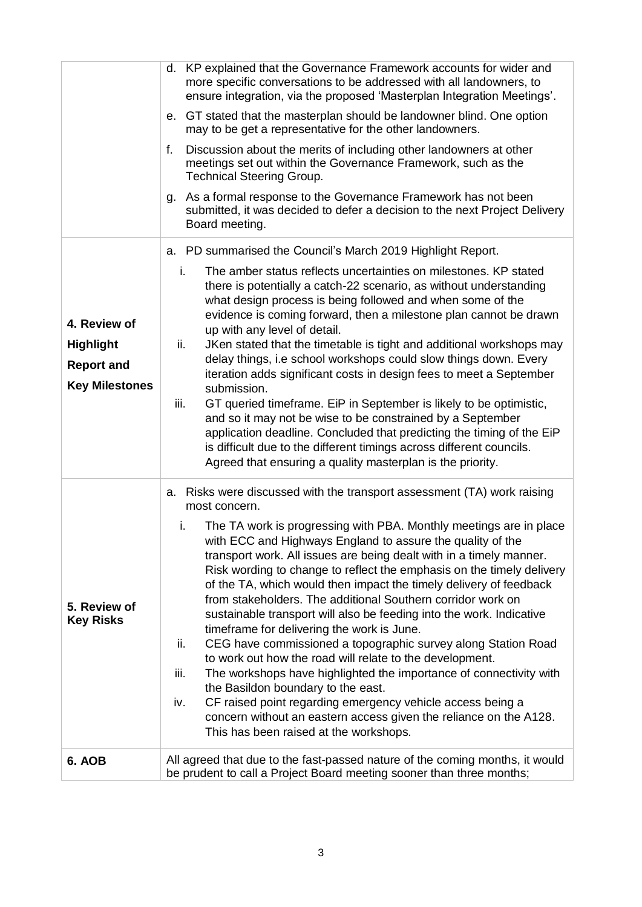| 4. Review of<br><b>Highlight</b><br><b>Report and</b><br><b>Key Milestones</b> | d. KP explained that the Governance Framework accounts for wider and<br>more specific conversations to be addressed with all landowners, to<br>ensure integration, via the proposed 'Masterplan Integration Meetings'.<br>e. GT stated that the masterplan should be landowner blind. One option<br>may to be get a representative for the other landowners.<br>Discussion about the merits of including other landowners at other<br>f.<br>meetings set out within the Governance Framework, such as the<br><b>Technical Steering Group.</b><br>As a formal response to the Governance Framework has not been<br>q.<br>submitted, it was decided to defer a decision to the next Project Delivery<br>Board meeting.<br>a. PD summarised the Council's March 2019 Highlight Report.<br>i.<br>The amber status reflects uncertainties on milestones. KP stated<br>there is potentially a catch-22 scenario, as without understanding<br>what design process is being followed and when some of the<br>evidence is coming forward, then a milestone plan cannot be drawn<br>up with any level of detail.<br>ii.<br>JKen stated that the timetable is tight and additional workshops may<br>delay things, i.e school workshops could slow things down. Every<br>iteration adds significant costs in design fees to meet a September<br>submission.<br>GT queried timeframe. EiP in September is likely to be optimistic,<br>iii.<br>and so it may not be wise to be constrained by a September<br>application deadline. Concluded that predicting the timing of the EiP<br>is difficult due to the different timings across different councils. |  |  |
|--------------------------------------------------------------------------------|----------------------------------------------------------------------------------------------------------------------------------------------------------------------------------------------------------------------------------------------------------------------------------------------------------------------------------------------------------------------------------------------------------------------------------------------------------------------------------------------------------------------------------------------------------------------------------------------------------------------------------------------------------------------------------------------------------------------------------------------------------------------------------------------------------------------------------------------------------------------------------------------------------------------------------------------------------------------------------------------------------------------------------------------------------------------------------------------------------------------------------------------------------------------------------------------------------------------------------------------------------------------------------------------------------------------------------------------------------------------------------------------------------------------------------------------------------------------------------------------------------------------------------------------------------------------------------------------------------------------------------------------|--|--|
| 5. Review of<br><b>Key Risks</b>                                               | Agreed that ensuring a quality masterplan is the priority.<br>Risks were discussed with the transport assessment (TA) work raising<br>а.<br>most concern.<br>The TA work is progressing with PBA. Monthly meetings are in place<br>i.<br>with ECC and Highways England to assure the quality of the<br>transport work. All issues are being dealt with in a timely manner.<br>Risk wording to change to reflect the emphasis on the timely delivery<br>of the TA, which would then impact the timely delivery of feedback<br>from stakeholders. The additional Southern corridor work on<br>sustainable transport will also be feeding into the work. Indicative<br>timeframe for delivering the work is June.<br>ii.<br>CEG have commissioned a topographic survey along Station Road<br>to work out how the road will relate to the development.<br>The workshops have highlighted the importance of connectivity with<br>iii.<br>the Basildon boundary to the east.<br>CF raised point regarding emergency vehicle access being a<br>iv.<br>concern without an eastern access given the reliance on the A128.<br>This has been raised at the workshops.                                                                                                                                                                                                                                                                                                                                                                                                                                                                                   |  |  |
| 6. AOB                                                                         | All agreed that due to the fast-passed nature of the coming months, it would<br>be prudent to call a Project Board meeting sooner than three months;                                                                                                                                                                                                                                                                                                                                                                                                                                                                                                                                                                                                                                                                                                                                                                                                                                                                                                                                                                                                                                                                                                                                                                                                                                                                                                                                                                                                                                                                                         |  |  |